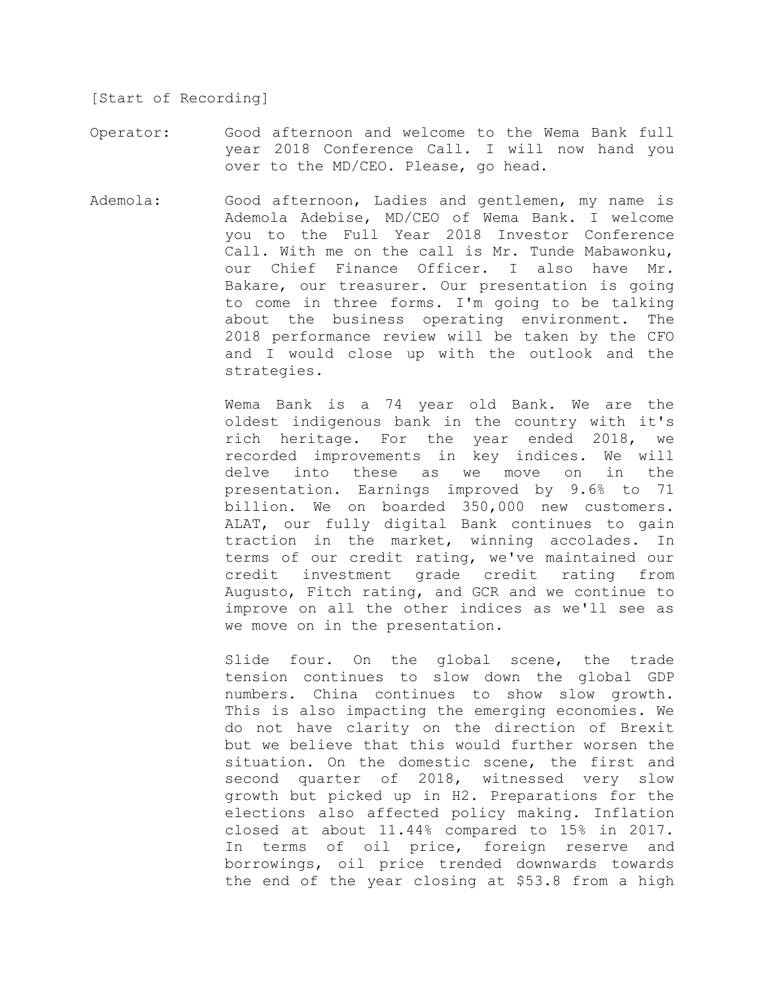[Start of Recording]

- Operator: Good afternoon and welcome to the Wema Bank full year 2018 Conference Call. I will now hand you over to the MD/CEO. Please, go head.
- Ademola: Good afternoon, Ladies and gentlemen, my name is Ademola Adebise, MD/CEO of Wema Bank. I welcome you to the Full Year 2018 Investor Conference Call. With me on the call is Mr. Tunde Mabawonku, our Chief Finance Officer. I also have Mr. Bakare, our treasurer. Our presentation is going to come in three forms. I'm going to be talking about the business operating environment. The 2018 performance review will be taken by the CFO and I would close up with the outlook and the strategies.

Wema Bank is a 74 year old Bank. We are the oldest indigenous bank in the country with it's rich heritage. For the year ended 2018, we recorded improvements in key indices. We will delve into these as we move on in the presentation. Earnings improved by 9.6% to 71 billion. We on boarded 350,000 new customers. ALAT, our fully digital Bank continues to gain traction in the market, winning accolades. In terms of our credit rating, we've maintained our credit investment grade credit rating from Augusto, Fitch rating, and GCR and we continue to improve on all the other indices as we'll see as we move on in the presentation.

Slide four. On the global scene, the trade tension continues to slow down the global GDP numbers. China continues to show slow growth. This is also impacting the emerging economies. We do not have clarity on the direction of Brexit but we believe that this would further worsen the situation. On the domestic scene, the first and second quarter of 2018, witnessed very slow growth but picked up in H2. Preparations for the elections also affected policy making. Inflation closed at about 11.44% compared to 15% in 2017. In terms of oil price, foreign reserve and borrowings, oil price trended downwards towards the end of the year closing at \$53.8 from a high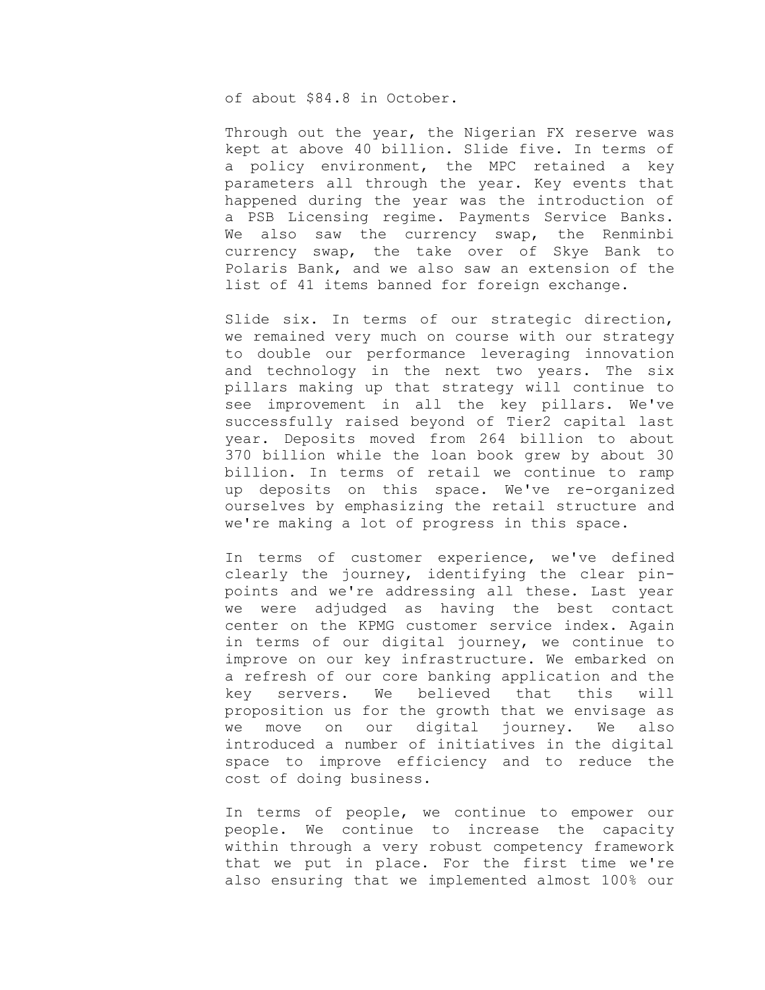of about \$84.8 in October.

Through out the year, the Nigerian FX reserve was kept at above 40 billion. Slide five. In terms of a policy environment, the MPC retained a key parameters all through the year. Key events that happened during the year was the introduction of a PSB Licensing regime. Payments Service Banks. We also saw the currency swap, the Renminbi currency swap, the take over of Skye Bank to Polaris Bank, and we also saw an extension of the list of 41 items banned for foreign exchange.

Slide six. In terms of our strategic direction, we remained very much on course with our strategy to double our performance leveraging innovation and technology in the next two years. The six pillars making up that strategy will continue to see improvement in all the key pillars. We've successfully raised beyond of Tier2 capital last year. Deposits moved from 264 billion to about 370 billion while the loan book grew by about 30 billion. In terms of retail we continue to ramp up deposits on this space. We've re-organized ourselves by emphasizing the retail structure and we're making a lot of progress in this space.

In terms of customer experience, we've defined clearly the journey, identifying the clear pinpoints and we're addressing all these. Last year we were adjudged as having the best contact center on the KPMG customer service index. Again in terms of our digital journey, we continue to improve on our key infrastructure. We embarked on a refresh of our core banking application and the key servers. We believed that this will proposition us for the growth that we envisage as we move on our digital journey. We also introduced a number of initiatives in the digital space to improve efficiency and to reduce the cost of doing business.

In terms of people, we continue to empower our people. We continue to increase the capacity within through a very robust competency framework that we put in place. For the first time we're also ensuring that we implemented almost 100% our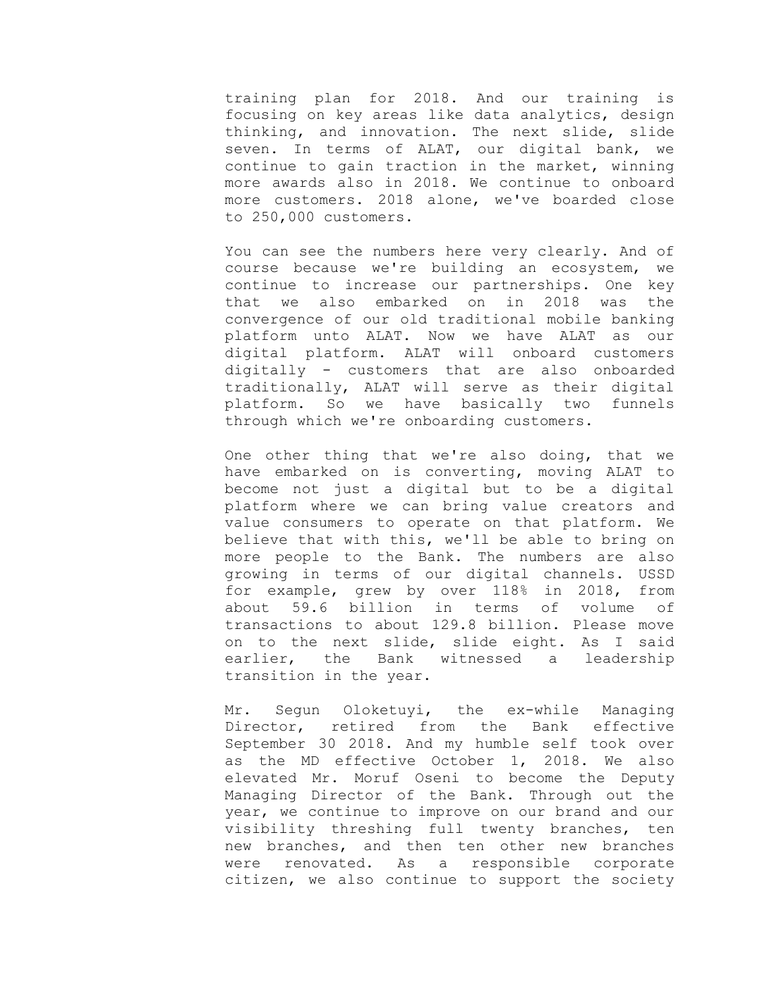training plan for 2018. And our training is focusing on key areas like data analytics, design thinking, and innovation. The next slide, slide seven. In terms of ALAT, our digital bank, we continue to gain traction in the market, winning more awards also in 2018. We continue to onboard more customers. 2018 alone, we've boarded close to 250,000 customers.

You can see the numbers here very clearly. And of course because we're building an ecosystem, we continue to increase our partnerships. One key that we also embarked on in 2018 was the convergence of our old traditional mobile banking platform unto ALAT. Now we have ALAT as our digital platform. ALAT will onboard customers digitally - customers that are also onboarded traditionally, ALAT will serve as their digital platform. So we have basically two funnels through which we're onboarding customers.

One other thing that we're also doing, that we have embarked on is converting, moving ALAT to become not just a digital but to be a digital platform where we can bring value creators and value consumers to operate on that platform. We believe that with this, we'll be able to bring on more people to the Bank. The numbers are also growing in terms of our digital channels. USSD for example, grew by over 118% in 2018, from about 59.6 billion in terms of volume of transactions to about 129.8 billion. Please move on to the next slide, slide eight. As I said earlier, the Bank witnessed a leadership transition in the year.

Mr. Segun Oloketuyi, the ex-while Managing Director, retired from the Bank effective September 30 2018. And my humble self took over as the MD effective October 1, 2018. We also elevated Mr. Moruf Oseni to become the Deputy Managing Director of the Bank. Through out the year, we continue to improve on our brand and our visibility threshing full twenty branches, ten new branches, and then ten other new branches were renovated. As a responsible corporate citizen, we also continue to support the society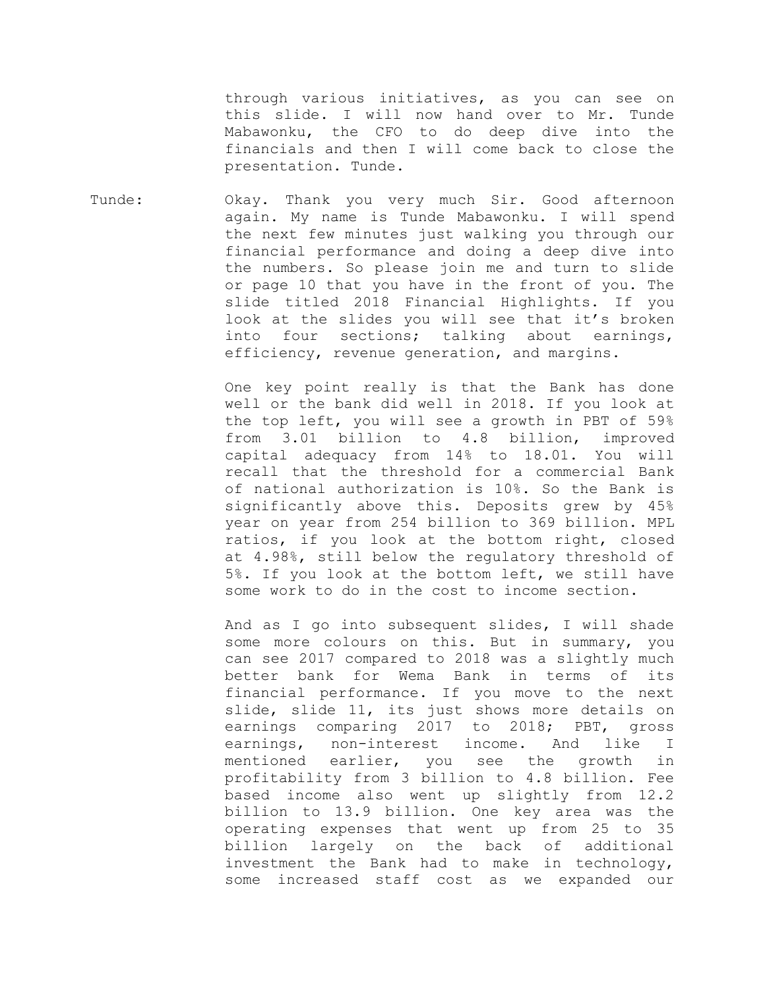through various initiatives, as you can see on this slide. I will now hand over to Mr. Tunde Mabawonku, the CFO to do deep dive into the financials and then I will come back to close the presentation. Tunde.

Tunde: Okay. Thank you very much Sir. Good afternoon again. My name is Tunde Mabawonku. I will spend the next few minutes just walking you through our financial performance and doing a deep dive into the numbers. So please join me and turn to slide or page 10 that you have in the front of you. The slide titled 2018 Financial Highlights. If you look at the slides you will see that it's broken into four sections; talking about earnings, efficiency, revenue generation, and margins.

> One key point really is that the Bank has done well or the bank did well in 2018. If you look at the top left, you will see a growth in PBT of 59% from 3.01 billion to 4.8 billion, improved capital adequacy from 14% to 18.01. You will recall that the threshold for a commercial Bank of national authorization is 10%. So the Bank is significantly above this. Deposits grew by 45% year on year from 254 billion to 369 billion. MPL ratios, if you look at the bottom right, closed at 4.98%, still below the regulatory threshold of 5%. If you look at the bottom left, we still have some work to do in the cost to income section.

> And as I go into subsequent slides, I will shade some more colours on this. But in summary, you can see 2017 compared to 2018 was a slightly much better bank for Wema Bank in terms of its financial performance. If you move to the next slide, slide 11, its just shows more details on earnings comparing 2017 to 2018; PBT, gross earnings, non-interest income. And like I mentioned earlier, you see the growth in profitability from 3 billion to 4.8 billion. Fee based income also went up slightly from 12.2 billion to 13.9 billion. One key area was the operating expenses that went up from 25 to 35 billion largely on the back of additional investment the Bank had to make in technology, some increased staff cost as we expanded our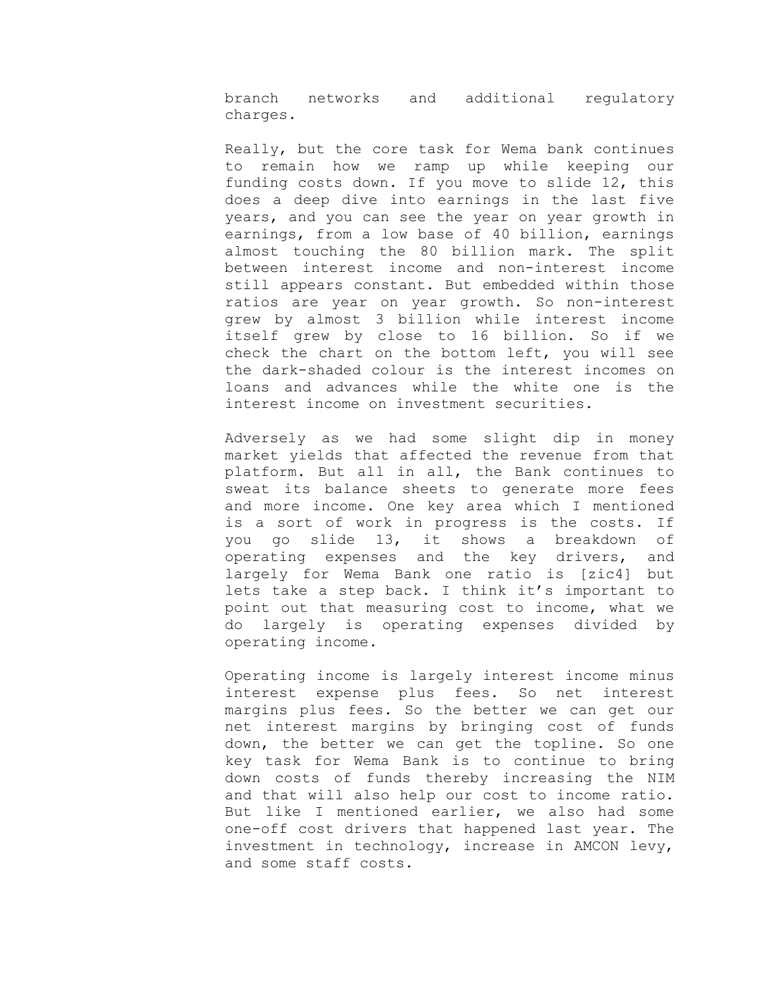branch networks and additional regulatory charges.

Really, but the core task for Wema bank continues to remain how we ramp up while keeping our funding costs down. If you move to slide 12, this does a deep dive into earnings in the last five years, and you can see the year on year growth in earnings, from a low base of 40 billion, earnings almost touching the 80 billion mark. The split between interest income and non-interest income still appears constant. But embedded within those ratios are year on year growth. So non-interest grew by almost 3 billion while interest income itself grew by close to 16 billion. So if we check the chart on the bottom left, you will see the dark-shaded colour is the interest incomes on loans and advances while the white one is the interest income on investment securities.

Adversely as we had some slight dip in money market yields that affected the revenue from that platform. But all in all, the Bank continues to sweat its balance sheets to generate more fees and more income. One key area which I mentioned is a sort of work in progress is the costs. If you go slide 13, it shows a breakdown of operating expenses and the key drivers, and largely for Wema Bank one ratio is [zic4] but lets take a step back. I think it's important to point out that measuring cost to income, what we do largely is operating expenses divided by operating income.

Operating income is largely interest income minus interest expense plus fees. So net interest margins plus fees. So the better we can get our net interest margins by bringing cost of funds down, the better we can get the topline. So one key task for Wema Bank is to continue to bring down costs of funds thereby increasing the NIM and that will also help our cost to income ratio. But like I mentioned earlier, we also had some one-off cost drivers that happened last year. The investment in technology, increase in AMCON levy, and some staff costs.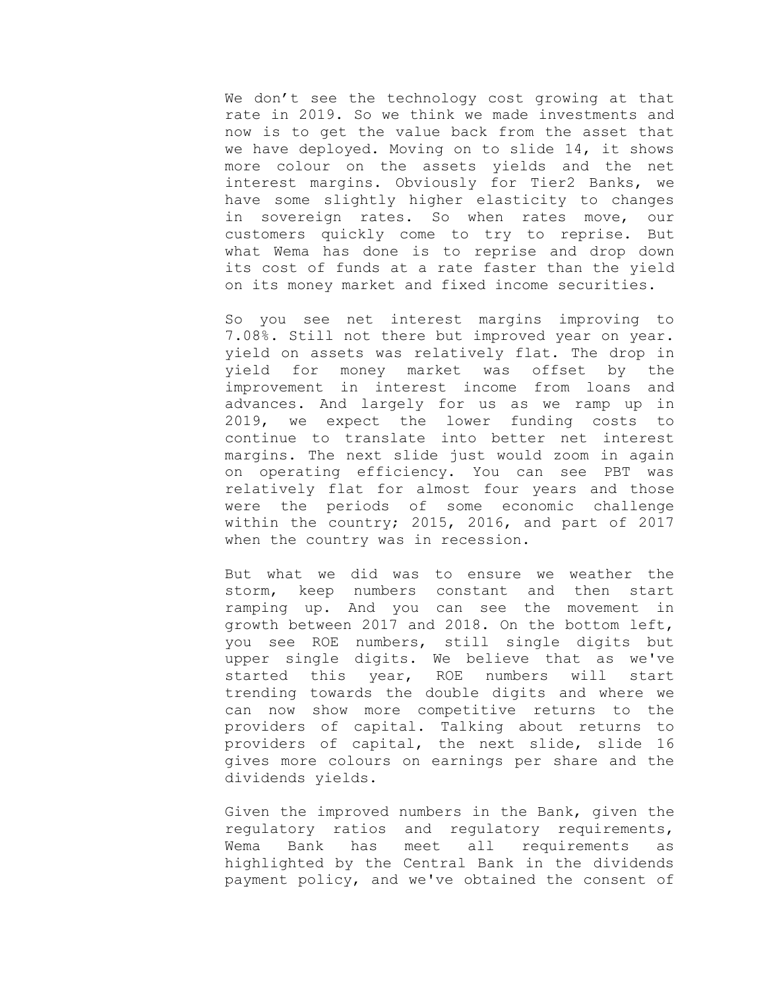We don't see the technology cost growing at that rate in 2019. So we think we made investments and now is to get the value back from the asset that we have deployed. Moving on to slide 14, it shows more colour on the assets yields and the net interest margins. Obviously for Tier2 Banks, we have some slightly higher elasticity to changes in sovereign rates. So when rates move, our customers quickly come to try to reprise. But what Wema has done is to reprise and drop down its cost of funds at a rate faster than the yield on its money market and fixed income securities.

So you see net interest margins improving to 7.08%. Still not there but improved year on year. yield on assets was relatively flat. The drop in yield for money market was offset by the improvement in interest income from loans and advances. And largely for us as we ramp up in 2019, we expect the lower funding costs to continue to translate into better net interest margins. The next slide just would zoom in again on operating efficiency. You can see PBT was relatively flat for almost four years and those were the periods of some economic challenge within the country; 2015, 2016, and part of 2017 when the country was in recession.

But what we did was to ensure we weather the storm, keep numbers constant and then start ramping up. And you can see the movement in growth between 2017 and 2018. On the bottom left, you see ROE numbers, still single digits but upper single digits. We believe that as we've started this year, ROE numbers will start trending towards the double digits and where we can now show more competitive returns to the providers of capital. Talking about returns to providers of capital, the next slide, slide 16 gives more colours on earnings per share and the dividends yields.

Given the improved numbers in the Bank, given the regulatory ratios and regulatory requirements, Wema Bank has meet all requirements as highlighted by the Central Bank in the dividends payment policy, and we've obtained the consent of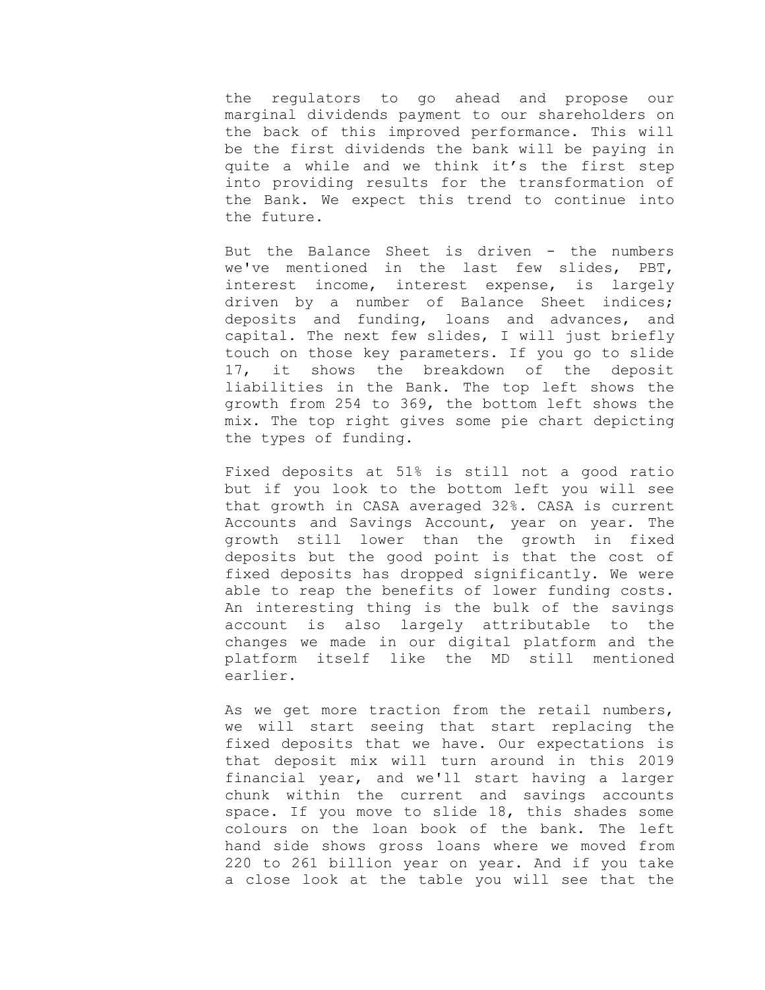the regulators to go ahead and propose our marginal dividends payment to our shareholders on the back of this improved performance. This will be the first dividends the bank will be paying in quite a while and we think it's the first step into providing results for the transformation of the Bank. We expect this trend to continue into the future.

But the Balance Sheet is driven - the numbers we've mentioned in the last few slides, PBT, interest income, interest expense, is largely driven by a number of Balance Sheet indices; deposits and funding, loans and advances, and capital. The next few slides, I will just briefly touch on those key parameters. If you go to slide 17, it shows the breakdown of the deposit liabilities in the Bank. The top left shows the growth from 254 to 369, the bottom left shows the mix. The top right gives some pie chart depicting the types of funding.

Fixed deposits at 51% is still not a good ratio but if you look to the bottom left you will see that growth in CASA averaged 32%. CASA is current Accounts and Savings Account, year on year. The growth still lower than the growth in fixed deposits but the good point is that the cost of fixed deposits has dropped significantly. We were able to reap the benefits of lower funding costs. An interesting thing is the bulk of the savings account is also largely attributable to the changes we made in our digital platform and the platform itself like the MD still mentioned earlier.

As we get more traction from the retail numbers, we will start seeing that start replacing the fixed deposits that we have. Our expectations is that deposit mix will turn around in this 2019 financial year, and we'll start having a larger chunk within the current and savings accounts space. If you move to slide 18, this shades some colours on the loan book of the bank. The left hand side shows gross loans where we moved from 220 to 261 billion year on year. And if you take a close look at the table you will see that the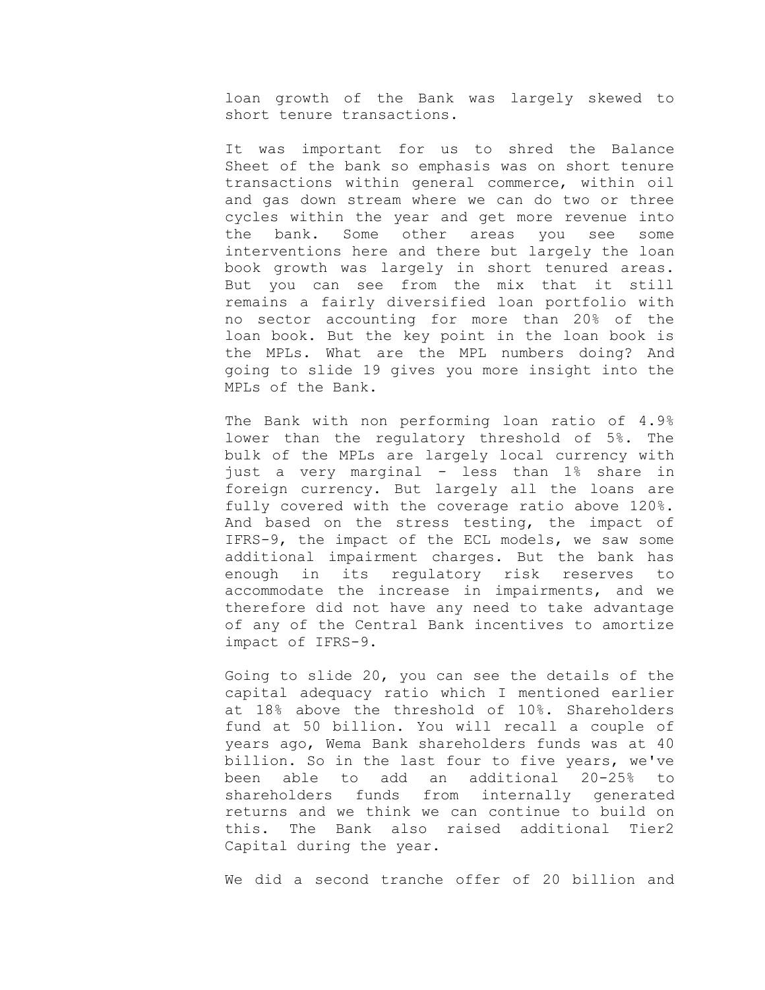loan growth of the Bank was largely skewed to short tenure transactions.

It was important for us to shred the Balance Sheet of the bank so emphasis was on short tenure transactions within general commerce, within oil and gas down stream where we can do two or three cycles within the year and get more revenue into the bank. Some other areas you see some interventions here and there but largely the loan book growth was largely in short tenured areas. But you can see from the mix that it still remains a fairly diversified loan portfolio with no sector accounting for more than 20% of the loan book. But the key point in the loan book is the MPLs. What are the MPL numbers doing? And going to slide 19 gives you more insight into the MPLs of the Bank.

The Bank with non performing loan ratio of 4.9% lower than the regulatory threshold of 5%. The bulk of the MPLs are largely local currency with just a very marginal - less than 1% share in foreign currency. But largely all the loans are fully covered with the coverage ratio above 120%. And based on the stress testing, the impact of IFRS-9, the impact of the ECL models, we saw some additional impairment charges. But the bank has enough in its regulatory risk reserves to accommodate the increase in impairments, and we therefore did not have any need to take advantage of any of the Central Bank incentives to amortize impact of IFRS-9.

Going to slide 20, you can see the details of the capital adequacy ratio which I mentioned earlier at 18% above the threshold of 10%. Shareholders fund at 50 billion. You will recall a couple of years ago, Wema Bank shareholders funds was at 40 billion. So in the last four to five years, we've been able to add an additional 20-25% to shareholders funds from internally generated returns and we think we can continue to build on this. The Bank also raised additional Tier2 Capital during the year.

We did a second tranche offer of 20 billion and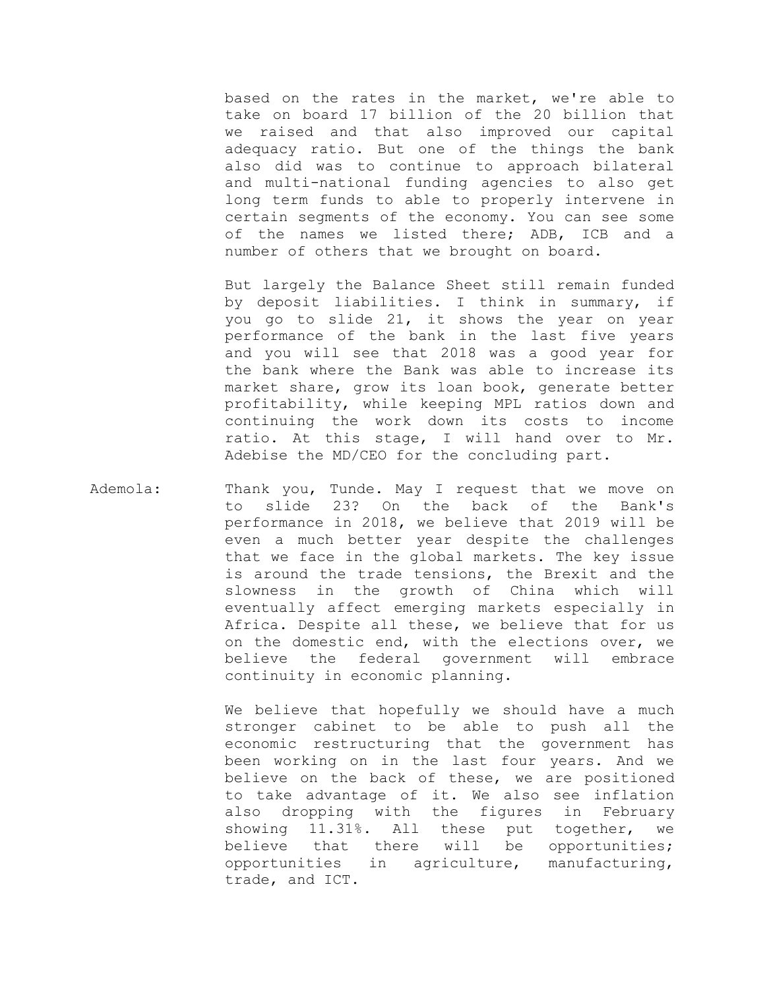based on the rates in the market, we're able to take on board 17 billion of the 20 billion that we raised and that also improved our capital adequacy ratio. But one of the things the bank also did was to continue to approach bilateral and multi-national funding agencies to also get long term funds to able to properly intervene in certain segments of the economy. You can see some of the names we listed there; ADB, ICB and a number of others that we brought on board.

But largely the Balance Sheet still remain funded by deposit liabilities. I think in summary, if you go to slide 21, it shows the year on year performance of the bank in the last five years and you will see that 2018 was a good year for the bank where the Bank was able to increase its market share, grow its loan book, generate better profitability, while keeping MPL ratios down and continuing the work down its costs to income ratio. At this stage, I will hand over to Mr. Adebise the MD/CEO for the concluding part.

Ademola: Thank you, Tunde. May I request that we move on to slide 23? On the back of the Bank's performance in 2018, we believe that 2019 will be even a much better year despite the challenges that we face in the global markets. The key issue is around the trade tensions, the Brexit and the slowness in the growth of China which will eventually affect emerging markets especially in Africa. Despite all these, we believe that for us on the domestic end, with the elections over, we believe the federal government will embrace continuity in economic planning.

> We believe that hopefully we should have a much stronger cabinet to be able to push all the economic restructuring that the government has been working on in the last four years. And we believe on the back of these, we are positioned to take advantage of it. We also see inflation also dropping with the figures in February showing 11.31%. All these put together, we believe that there will be opportunities; opportunities in agriculture, manufacturing, trade, and ICT.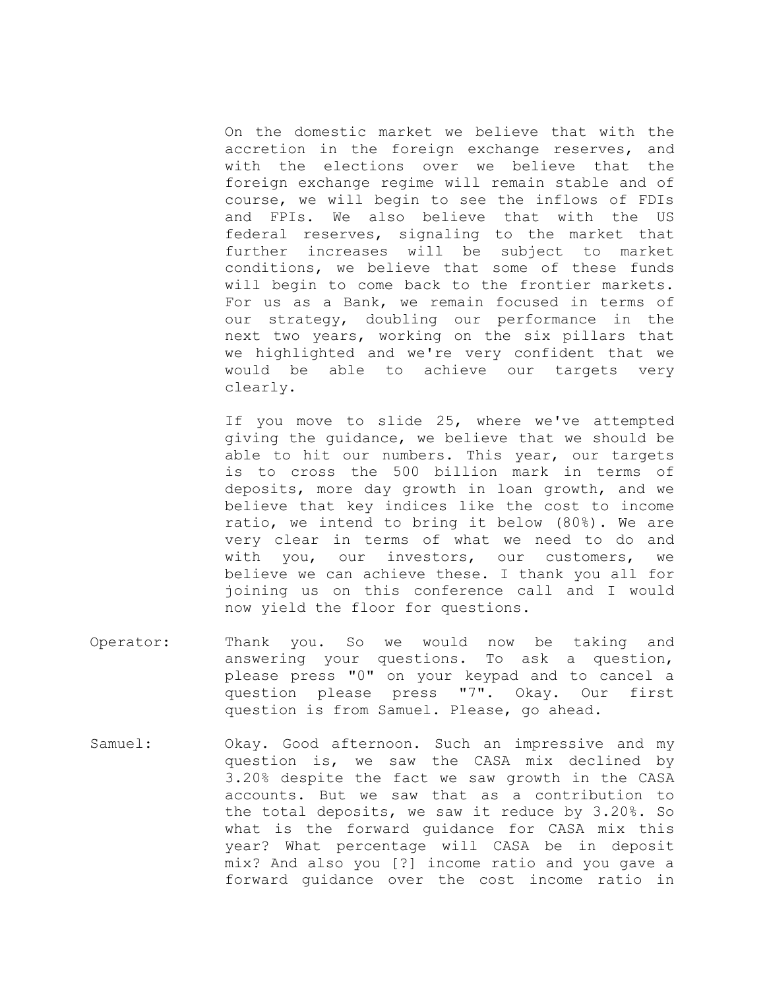On the domestic market we believe that with the accretion in the foreign exchange reserves, and with the elections over we believe that the foreign exchange regime will remain stable and of course, we will begin to see the inflows of FDIs and FPIs. We also believe that with the US federal reserves, signaling to the market that further increases will be subject to market conditions, we believe that some of these funds will begin to come back to the frontier markets. For us as a Bank, we remain focused in terms of our strategy, doubling our performance in the next two years, working on the six pillars that we highlighted and we're very confident that we would be able to achieve our targets very clearly.

If you move to slide 25, where we've attempted giving the guidance, we believe that we should be able to hit our numbers. This year, our targets is to cross the 500 billion mark in terms of deposits, more day growth in loan growth, and we believe that key indices like the cost to income ratio, we intend to bring it below (80%). We are very clear in terms of what we need to do and with you, our investors, our customers, we believe we can achieve these. I thank you all for joining us on this conference call and I would now yield the floor for questions.

- Operator: Thank you. So we would now be taking and answering your questions. To ask a question, please press "0" on your keypad and to cancel a question please press "7". Okay. Our first question is from Samuel. Please, go ahead.
- Samuel: Okay. Good afternoon. Such an impressive and my question is, we saw the CASA mix declined by 3.20% despite the fact we saw growth in the CASA accounts. But we saw that as a contribution to the total deposits, we saw it reduce by 3.20%. So what is the forward guidance for CASA mix this year? What percentage will CASA be in deposit mix? And also you [?] income ratio and you gave a forward guidance over the cost income ratio in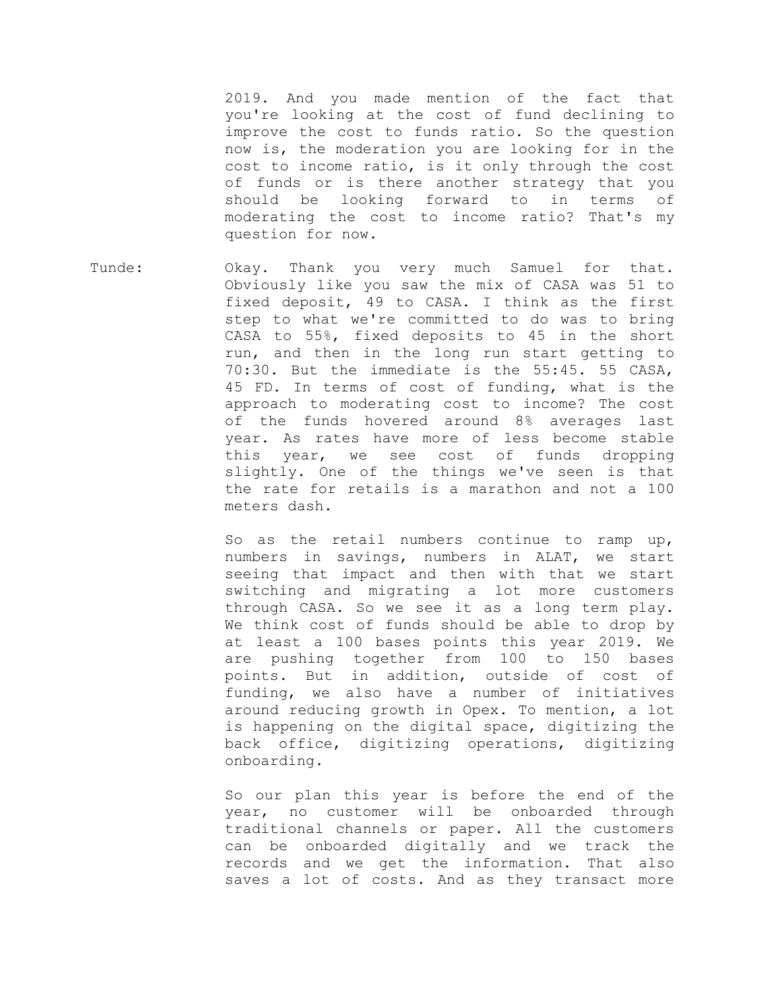2019. And you made mention of the fact that you're looking at the cost of fund declining to improve the cost to funds ratio. So the question now is, the moderation you are looking for in the cost to income ratio, is it only through the cost of funds or is there another strategy that you should be looking forward to in terms of moderating the cost to income ratio? That's my question for now.

Tunde: Okay. Thank you very much Samuel for that. Obviously like you saw the mix of CASA was 51 to fixed deposit, 49 to CASA. I think as the first step to what we're committed to do was to bring CASA to 55%, fixed deposits to 45 in the short run, and then in the long run start getting to 70:30. But the immediate is the 55:45. 55 CASA, 45 FD. In terms of cost of funding, what is the approach to moderating cost to income? The cost of the funds hovered around 8% averages last year. As rates have more of less become stable this year, we see cost of funds dropping slightly. One of the things we've seen is that the rate for retails is a marathon and not a 100 meters dash.

> So as the retail numbers continue to ramp up, numbers in savings, numbers in ALAT, we start seeing that impact and then with that we start switching and migrating a lot more customers through CASA. So we see it as a long term play. We think cost of funds should be able to drop by at least a 100 bases points this year 2019. We are pushing together from 100 to 150 bases points. But in addition, outside of cost of funding, we also have a number of initiatives around reducing growth in Opex. To mention, a lot is happening on the digital space, digitizing the back office, digitizing operations, digitizing onboarding.

> So our plan this year is before the end of the year, no customer will be onboarded through traditional channels or paper. All the customers can be onboarded digitally and we track the records and we get the information. That also saves a lot of costs. And as they transact more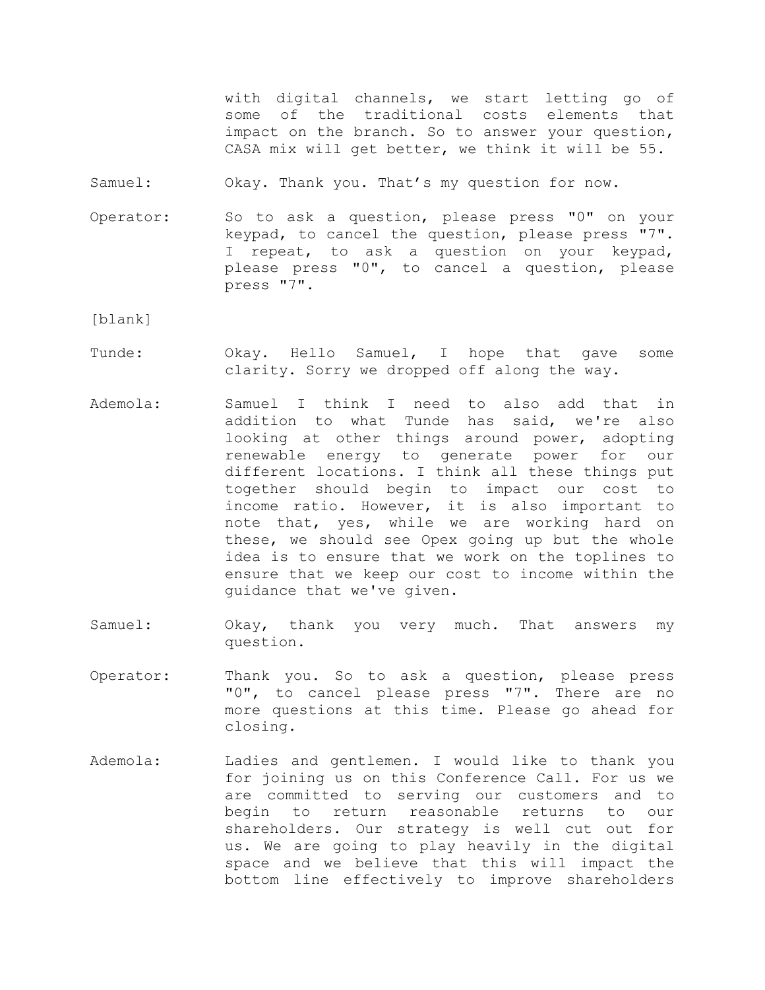with digital channels, we start letting go of some of the traditional costs elements that impact on the branch. So to answer your question, CASA mix will get better, we think it will be 55.

Samuel: Okay. Thank you. That's my question for now.

Operator: So to ask a question, please press "0" on your keypad, to cancel the question, please press "7". I repeat, to ask a question on your keypad, please press "0", to cancel a question, please press "7".

[blank]

- Tunde: Okay. Hello Samuel, I hope that gave some clarity. Sorry we dropped off along the way.
- Ademola: Samuel I think I need to also add that in addition to what Tunde has said, we're also looking at other things around power, adopting renewable energy to generate power for our different locations. I think all these things put together should begin to impact our cost to income ratio. However, it is also important to note that, yes, while we are working hard on these, we should see Opex going up but the whole idea is to ensure that we work on the toplines to ensure that we keep our cost to income within the guidance that we've given.
- Samuel: Okay, thank you very much. That answers my question.
- Operator: Thank you. So to ask a question, please press "0", to cancel please press "7". There are no more questions at this time. Please go ahead for closing.
- Ademola: Ladies and gentlemen. I would like to thank you for joining us on this Conference Call. For us we are committed to serving our customers and to begin to return reasonable returns to our shareholders. Our strategy is well cut out for us. We are going to play heavily in the digital space and we believe that this will impact the bottom line effectively to improve shareholders